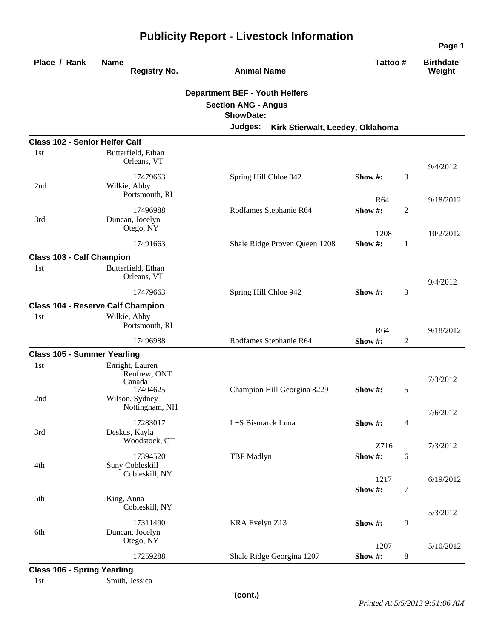| Place / Rank                          | <b>Name</b><br><b>Registry No.</b>                                                        | <b>Animal Name</b>                                                                      | Tattoo#                         | <b>Birthdate</b><br>Weight |
|---------------------------------------|-------------------------------------------------------------------------------------------|-----------------------------------------------------------------------------------------|---------------------------------|----------------------------|
|                                       |                                                                                           | <b>Department BEF - Youth Heifers</b><br><b>Section ANG - Angus</b><br><b>ShowDate:</b> |                                 |                            |
|                                       |                                                                                           | Judges:<br>Kirk Stierwalt, Leedey, Oklahoma                                             |                                 |                            |
| <b>Class 102 - Senior Heifer Calf</b> |                                                                                           |                                                                                         |                                 |                            |
| 1st                                   | Butterfield, Ethan<br>Orleans, VT                                                         |                                                                                         |                                 | 9/4/2012                   |
| 2nd                                   | 17479663<br>Wilkie, Abby<br>Portsmouth, RI                                                | Spring Hill Chloe 942                                                                   | 3<br>Show #:                    |                            |
| 3rd                                   | 17496988<br>Duncan, Jocelyn<br>Otego, NY                                                  | Rodfames Stephanie R64                                                                  | R <sub>64</sub><br>Show#:<br>2  | 9/18/2012                  |
|                                       | 17491663                                                                                  | Shale Ridge Proven Queen 1208                                                           | 1208<br>Show #:<br>$\mathbf{1}$ | 10/2/2012                  |
| <b>Class 103 - Calf Champion</b>      |                                                                                           |                                                                                         |                                 |                            |
| 1st                                   | Butterfield, Ethan<br>Orleans, VT                                                         |                                                                                         |                                 | 9/4/2012                   |
|                                       | 17479663                                                                                  | Spring Hill Chloe 942                                                                   | 3<br>Show $\#$ :                |                            |
| 1st                                   | <b>Class 104 - Reserve Calf Champion</b><br>Wilkie, Abby<br>Portsmouth, RI                |                                                                                         | R <sub>64</sub>                 | 9/18/2012                  |
|                                       | 17496988                                                                                  | Rodfames Stephanie R64                                                                  | Show #:<br>$\mathfrak{2}$       |                            |
| <b>Class 105 - Summer Yearling</b>    |                                                                                           |                                                                                         |                                 |                            |
| 1st<br>2nd                            | Enright, Lauren<br>Renfrew, ONT<br>Canada<br>17404625<br>Wilson, Sydney<br>Nottingham, NH | Champion Hill Georgina 8229                                                             | 5<br>Show $\#$ :                | 7/3/2012                   |
| 3rd                                   | 17283017<br>Deskus, Kayla<br>Woodstock, CT                                                | L+S Bismarck Luna                                                                       | Show #:<br>$\overline{4}$       | 7/6/2012                   |
| 4th                                   | 17394520<br>Suny Cobleskill<br>Cobleskill, NY                                             | TBF Madlyn                                                                              | Z716<br>Show#:<br>6             | 7/3/2012                   |
| 5th                                   | King, Anna                                                                                |                                                                                         | 1217<br>Show #:<br>7            | 6/19/2012                  |
| 6th                                   | Cobleskill, NY<br>17311490<br>Duncan, Jocelyn<br>Otego, NY                                | KRA Evelyn Z13                                                                          | 9<br>Show #:                    | 5/3/2012                   |
| <b>Class 106 - Spring Yearling</b>    | 17259288                                                                                  | Shale Ridge Georgina 1207                                                               | 1207<br>Show #:<br>8            | 5/10/2012                  |

## **Publicity Report - Livestock Information**

1st Smith, Jessica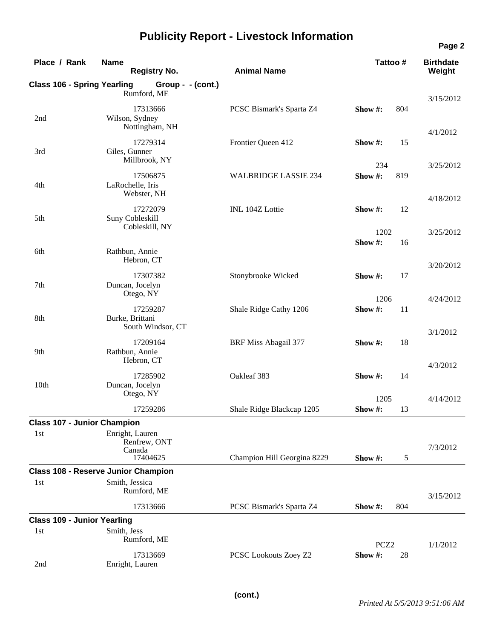## **Publicity Report - Livestock Information**

| Place / Rank                       |          | <b>Name</b><br><b>Registry No.</b>                           | <b>Animal Name</b>          | Tattoo #             | <b>Birthdate</b><br>Weight |
|------------------------------------|----------|--------------------------------------------------------------|-----------------------------|----------------------|----------------------------|
| <b>Class 106 - Spring Yearling</b> |          | Group - - (cont.)<br>Rumford, ME                             |                             |                      | 3/15/2012                  |
| 2nd                                |          | 17313666<br>Wilson, Sydney<br>Nottingham, NH                 | PCSC Bismark's Sparta Z4    | 804<br>Show #:       |                            |
| 3rd                                |          | 17279314<br>Giles, Gunner                                    | Frontier Queen 412          | 15<br>Show #:        | 4/1/2012                   |
| 4th                                |          | Millbrook, NY<br>17506875<br>LaRochelle, Iris<br>Webster, NH | <b>WALBRIDGE LASSIE 234</b> | 234<br>Show#:<br>819 | 3/25/2012                  |
| 5th                                |          | 17272079<br>Suny Cobleskill                                  | INL 104Z Lottie             | 12<br>Show #:        | 4/18/2012                  |
| 6th                                |          | Cobleskill, NY<br>Rathbun, Annie                             |                             | 1202<br>Show#:<br>16 | 3/25/2012                  |
| 7th                                |          | Hebron, CT<br>17307382<br>Duncan, Jocelyn<br>Otego, NY       | Stonybrooke Wicked          | 17<br>Show #:        | 3/20/2012                  |
| 8th                                |          | 17259287<br>Burke, Brittani<br>South Windsor, CT             | Shale Ridge Cathy 1206      | 1206<br>Show#:<br>11 | 4/24/2012                  |
| 9th                                |          | 17209164<br>Rathbun, Annie<br>Hebron, CT                     | <b>BRF Miss Abagail 377</b> | Show #:<br>18        | 3/1/2012                   |
| 10th                               |          | 17285902<br>Duncan, Jocelyn<br>Otego, NY                     | Oakleaf 383                 | Show #:<br>14        | 4/3/2012                   |
|                                    |          | 17259286                                                     | Shale Ridge Blackcap 1205   | 1205<br>Show#:<br>13 | 4/14/2012                  |
|                                    |          | <b>Class 107 - Junior Champion</b>                           |                             |                      |                            |
| 1st                                |          | Enright, Lauren<br>Renfrew, ONT<br>Canada<br>17404625        | Champion Hill Georgina 8229 | Show #:<br>5         | 7/3/2012                   |
|                                    |          | <b>Class 108 - Reserve Junior Champion</b>                   |                             |                      |                            |
| 1st                                |          | Smith, Jessica<br>Rumford, ME                                |                             |                      | 3/15/2012                  |
|                                    | 17313666 | PCSC Bismark's Sparta Z4                                     | Show #:<br>804              |                      |                            |
| <b>Class 109 - Junior Yearling</b> |          |                                                              |                             |                      |                            |
| 1st                                |          | Smith, Jess<br>Rumford, ME                                   |                             | PCZ <sub>2</sub>     | 1/1/2012                   |
| 2nd                                |          | 17313669<br>Enright, Lauren                                  | PCSC Lookouts Zoey Z2       | Show #:<br>28        |                            |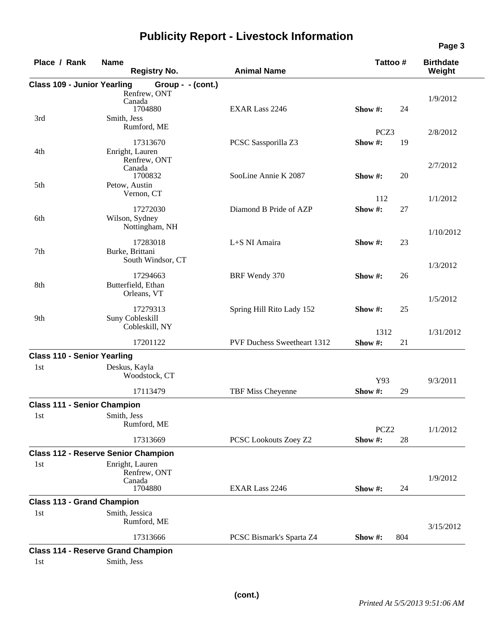## **Publicity Report - Livestock Information**

| Place / Rank                       | <b>Name</b><br><b>Registry No.</b>                     | <b>Animal Name</b>                 | Tattoo #              | <b>Birthdate</b><br>Weight |
|------------------------------------|--------------------------------------------------------|------------------------------------|-----------------------|----------------------------|
| <b>Class 109 - Junior Yearling</b> | Group - - (cont.)<br>Renfrew, ONT<br>Canada<br>1704880 | EXAR Lass 2246                     | 24<br>Show #:         | 1/9/2012                   |
| 3rd                                | Smith, Jess<br>Rumford, ME                             |                                    | PCZ3                  |                            |
|                                    | 17313670                                               | PCSC Sassporilla Z3                | Show #:<br>19         | 2/8/2012                   |
| 4th                                | Enright, Lauren<br>Renfrew, ONT<br>Canada<br>1700832   | SooLine Annie K 2087               | Show #:<br>20         | 2/7/2012                   |
| 5th                                | Petow, Austin<br>Vernon, CT                            |                                    | 112                   | 1/1/2012                   |
| 6th                                | 17272030<br>Wilson, Sydney<br>Nottingham, NH           | Diamond B Pride of AZP             | Show#:<br>27          |                            |
| 7th                                | 17283018<br>Burke, Brittani<br>South Windsor, CT       | L+S NI Amaira                      | Show #:<br>23         | 1/10/2012                  |
| 8th                                | 17294663<br>Butterfield, Ethan<br>Orleans, VT          | BRF Wendy 370                      | 26<br>Show #:         | 1/3/2012                   |
| 9th                                | 17279313<br>Suny Cobleskill<br>Cobleskill, NY          | Spring Hill Rito Lady 152          | 25<br>Show#:          | 1/5/2012                   |
|                                    | 17201122                                               | <b>PVF Duchess Sweetheart 1312</b> | 1312<br>Show #:<br>21 | 1/31/2012                  |
| <b>Class 110 - Senior Yearling</b> |                                                        |                                    |                       |                            |
| 1st                                | Deskus, Kayla<br>Woodstock, CT                         |                                    |                       |                            |
|                                    | 17113479                                               | TBF Miss Cheyenne                  | Y93<br>Show #:<br>29  | 9/3/2011                   |
| <b>Class 111 - Senior Champion</b> |                                                        |                                    |                       |                            |
| 1st                                | Smith, Jess<br>Rumford, ME                             |                                    | PCZ <sub>2</sub>      | 1/1/2012                   |
|                                    | 17313669                                               | PCSC Lookouts Zoey Z2              | Show #:<br>28         |                            |
|                                    | <b>Class 112 - Reserve Senior Champion</b>             |                                    |                       |                            |
| 1st                                | Enright, Lauren<br>Renfrew, ONT<br>Canada              |                                    |                       | 1/9/2012                   |
|                                    | 1704880                                                | EXAR Lass 2246                     | Show #:<br>24         |                            |
| <b>Class 113 - Grand Champion</b>  |                                                        |                                    |                       |                            |
| 1st                                | Smith, Jessica<br>Rumford, ME                          |                                    |                       | 3/15/2012                  |
|                                    | 17313666                                               | PCSC Bismark's Sparta Z4           | Show $#$ :<br>804     |                            |
|                                    | <b>Class 114 - Reserve Grand Champion</b>              |                                    |                       |                            |
| 1st                                | Smith, Jess                                            |                                    |                       |                            |